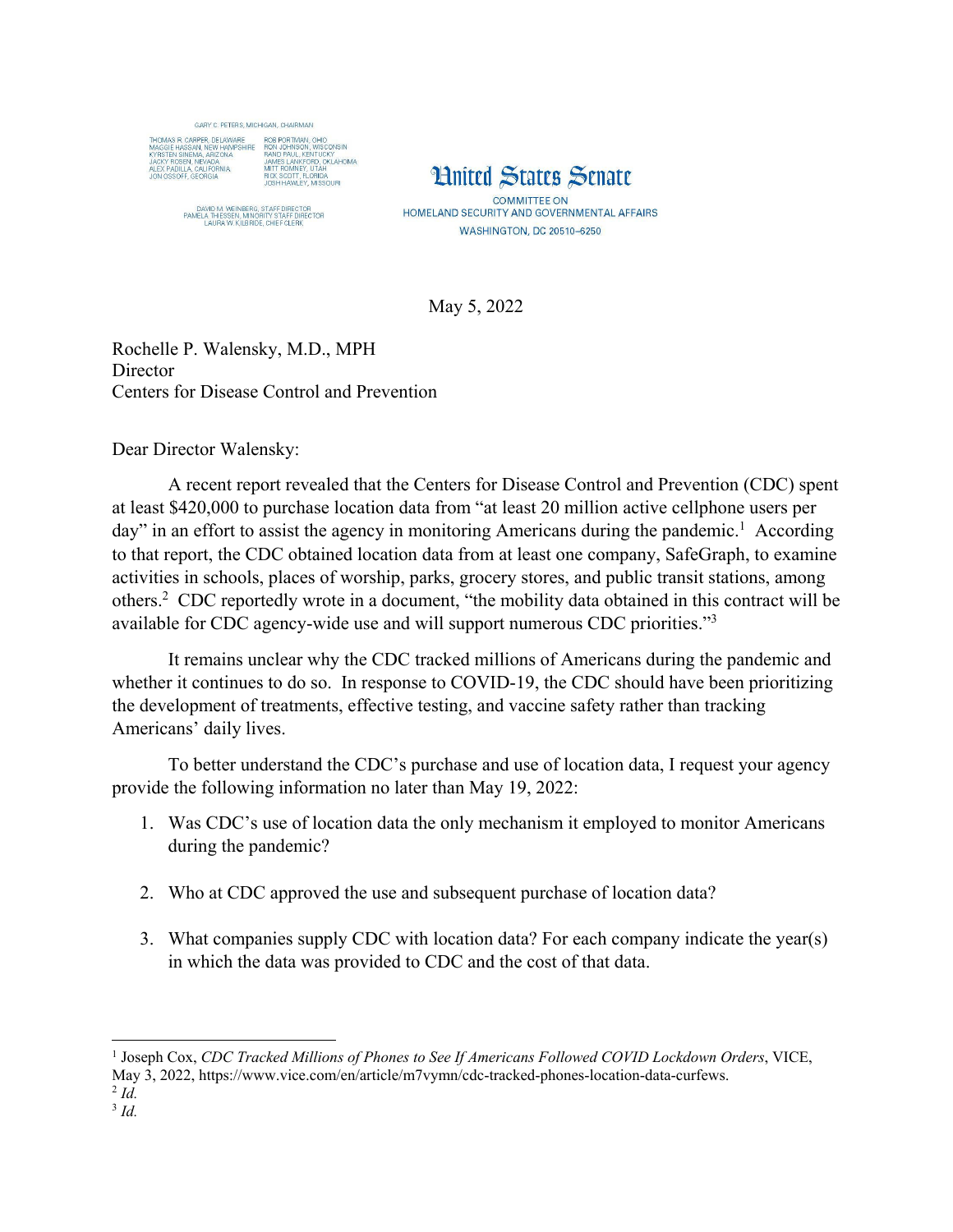

**Hnited States Senate COMMITTEE ON** HOMELAND SECURITY AND GOVERNMENTAL AFFAIRS **WASHINGTON, DC 20510-6250** 

May 5, 2022

Rochelle P. Walensky, M.D., MPH **Director** Centers for Disease Control and Prevention

Dear Director Walensky:

 A recent report revealed that the Centers for Disease Control and Prevention (CDC) spent at least \$420,000 to purchase location data from "at least 20 million active cellphone users per day" in an effort to assist the agency in monitoring Americans during the pandemic.<sup>1</sup> According to that report, the CDC obtained location data from at least one company, SafeGraph, to examine activities in schools, places of worship, parks, grocery stores, and public transit stations, among others.<sup>2</sup> CDC reportedly wrote in a document, "the mobility data obtained in this contract will be available for CDC agency-wide use and will support numerous CDC priorities."<sup>3</sup>

 It remains unclear why the CDC tracked millions of Americans during the pandemic and whether it continues to do so. In response to COVID-19, the CDC should have been prioritizing the development of treatments, effective testing, and vaccine safety rather than tracking Americans' daily lives.

 To better understand the CDC's purchase and use of location data, I request your agency provide the following information no later than May 19, 2022:

- 1. Was CDC's use of location data the only mechanism it employed to monitor Americans during the pandemic?
- 2. Who at CDC approved the use and subsequent purchase of location data?
- 3. What companies supply CDC with location data? For each company indicate the year(s) in which the data was provided to CDC and the cost of that data.

<sup>&</sup>lt;sup>1</sup> Joseph Cox, *CDC Tracked Millions of Phones to See If Americans Followed COVID Lockdown Orders*, VICE,

May 3, 2022, https://www.vice.com/en/article/m7vymn/cdc-tracked-phones-location-data-curfews.

<sup>2</sup> *Id.*

<sup>3</sup> *Id.*